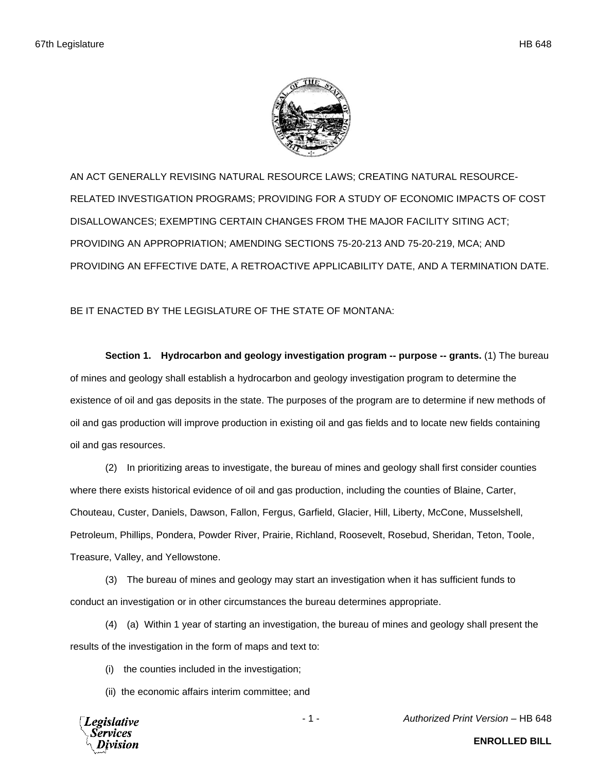

AN ACT GENERALLY REVISING NATURAL RESOURCE LAWS; CREATING NATURAL RESOURCE-RELATED INVESTIGATION PROGRAMS; PROVIDING FOR A STUDY OF ECONOMIC IMPACTS OF COST DISALLOWANCES; EXEMPTING CERTAIN CHANGES FROM THE MAJOR FACILITY SITING ACT; PROVIDING AN APPROPRIATION; AMENDING SECTIONS 75-20-213 AND 75-20-219, MCA; AND PROVIDING AN EFFECTIVE DATE, A RETROACTIVE APPLICABILITY DATE, AND A TERMINATION DATE.

BE IT ENACTED BY THE LEGISLATURE OF THE STATE OF MONTANA:

**Section 1. Hydrocarbon and geology investigation program -- purpose -- grants.** (1) The bureau of mines and geology shall establish a hydrocarbon and geology investigation program to determine the existence of oil and gas deposits in the state. The purposes of the program are to determine if new methods of oil and gas production will improve production in existing oil and gas fields and to locate new fields containing oil and gas resources.

(2) In prioritizing areas to investigate, the bureau of mines and geology shall first consider counties where there exists historical evidence of oil and gas production, including the counties of Blaine, Carter, Chouteau, Custer, Daniels, Dawson, Fallon, Fergus, Garfield, Glacier, Hill, Liberty, McCone, Musselshell, Petroleum, Phillips, Pondera, Powder River, Prairie, Richland, Roosevelt, Rosebud, Sheridan, Teton, Toole, Treasure, Valley, and Yellowstone.

(3) The bureau of mines and geology may start an investigation when it has sufficient funds to conduct an investigation or in other circumstances the bureau determines appropriate.

(4) (a) Within 1 year of starting an investigation, the bureau of mines and geology shall present the results of the investigation in the form of maps and text to:

(i) the counties included in the investigation;

(ii) the economic affairs interim committee; and

Legislative

- 1 - *Authorized Print Version* – HB 648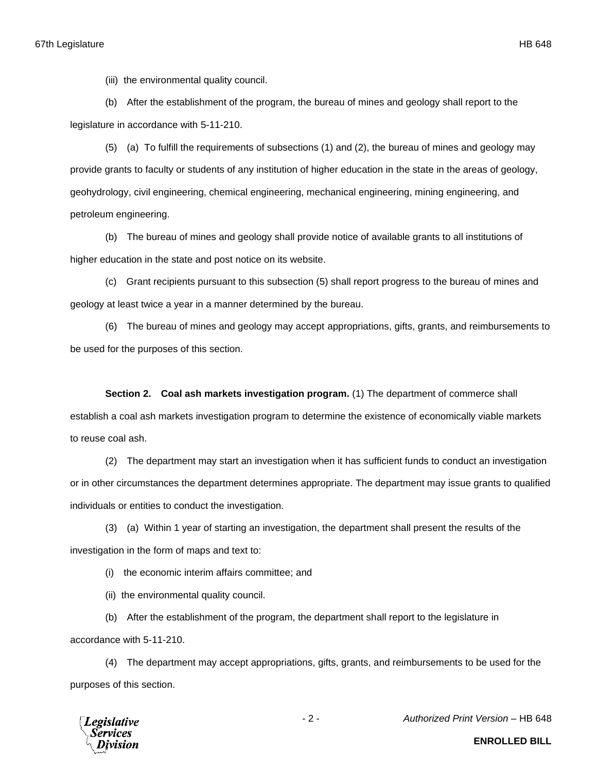(iii) the environmental quality council.

(b) After the establishment of the program, the bureau of mines and geology shall report to the legislature in accordance with 5-11-210.

(5) (a) To fulfill the requirements of subsections (1) and (2), the bureau of mines and geology may provide grants to faculty or students of any institution of higher education in the state in the areas of geology, geohydrology, civil engineering, chemical engineering, mechanical engineering, mining engineering, and petroleum engineering.

(b) The bureau of mines and geology shall provide notice of available grants to all institutions of higher education in the state and post notice on its website.

(c) Grant recipients pursuant to this subsection (5) shall report progress to the bureau of mines and geology at least twice a year in a manner determined by the bureau.

(6) The bureau of mines and geology may accept appropriations, gifts, grants, and reimbursements to be used for the purposes of this section.

**Section 2. Coal ash markets investigation program.** (1) The department of commerce shall establish a coal ash markets investigation program to determine the existence of economically viable markets to reuse coal ash.

(2) The department may start an investigation when it has sufficient funds to conduct an investigation or in other circumstances the department determines appropriate. The department may issue grants to qualified individuals or entities to conduct the investigation.

(3) (a) Within 1 year of starting an investigation, the department shall present the results of the investigation in the form of maps and text to:

(i) the economic interim affairs committee; and

(ii) the environmental quality council.

(b) After the establishment of the program, the department shall report to the legislature in accordance with 5-11-210.

(4) The department may accept appropriations, gifts, grants, and reimbursements to be used for the purposes of this section.



- 2 - *Authorized Print Version* – HB 648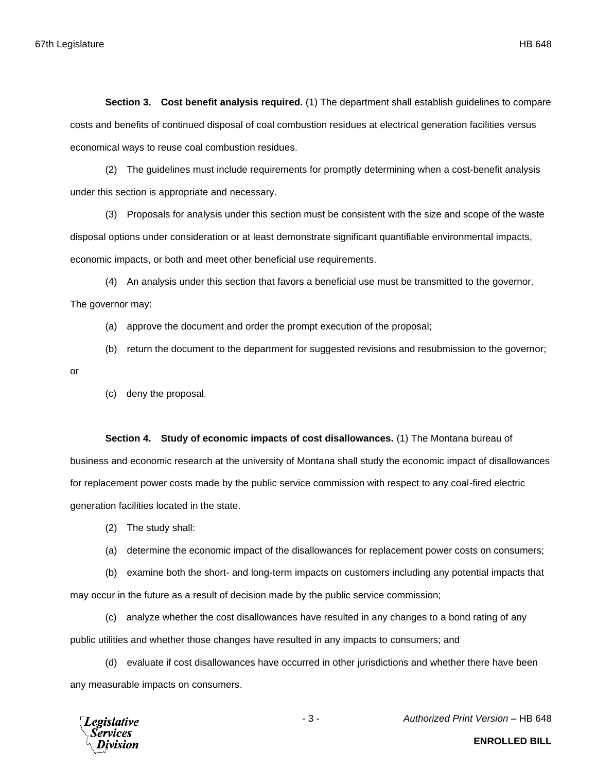**Section 3. Cost benefit analysis required.** (1) The department shall establish guidelines to compare costs and benefits of continued disposal of coal combustion residues at electrical generation facilities versus economical ways to reuse coal combustion residues.

(2) The guidelines must include requirements for promptly determining when a cost-benefit analysis under this section is appropriate and necessary.

(3) Proposals for analysis under this section must be consistent with the size and scope of the waste disposal options under consideration or at least demonstrate significant quantifiable environmental impacts, economic impacts, or both and meet other beneficial use requirements.

(4) An analysis under this section that favors a beneficial use must be transmitted to the governor. The governor may:

- (a) approve the document and order the prompt execution of the proposal;
- (b) return the document to the department for suggested revisions and resubmission to the governor;
- or
- (c) deny the proposal.

## **Section 4. Study of economic impacts of cost disallowances.** (1) The Montana bureau of

business and economic research at the university of Montana shall study the economic impact of disallowances for replacement power costs made by the public service commission with respect to any coal-fired electric generation facilities located in the state.

- (2) The study shall:
- (a) determine the economic impact of the disallowances for replacement power costs on consumers;

(b) examine both the short- and long-term impacts on customers including any potential impacts that may occur in the future as a result of decision made by the public service commission;

(c) analyze whether the cost disallowances have resulted in any changes to a bond rating of any public utilities and whether those changes have resulted in any impacts to consumers; and

(d) evaluate if cost disallowances have occurred in other jurisdictions and whether there have been any measurable impacts on consumers.



- 3 - *Authorized Print Version* – HB 648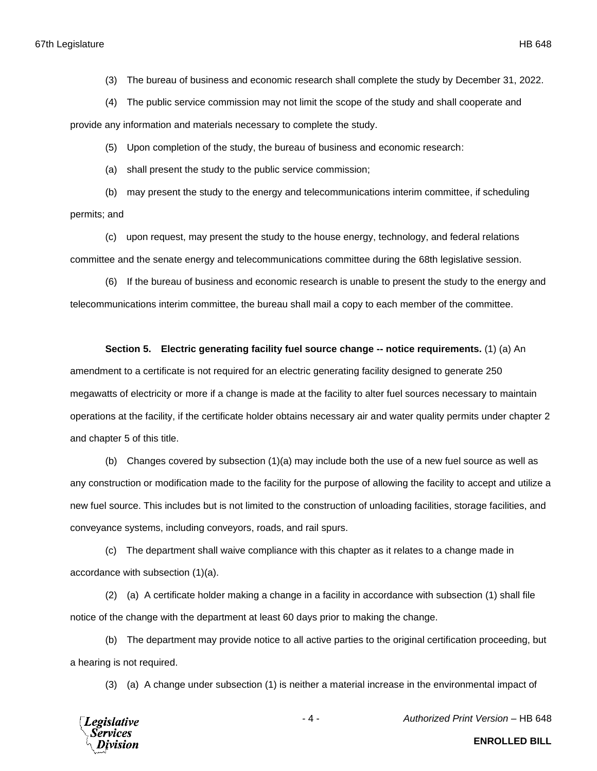(3) The bureau of business and economic research shall complete the study by December 31, 2022.

(4) The public service commission may not limit the scope of the study and shall cooperate and

provide any information and materials necessary to complete the study.

(5) Upon completion of the study, the bureau of business and economic research:

(a) shall present the study to the public service commission;

(b) may present the study to the energy and telecommunications interim committee, if scheduling permits; and

(c) upon request, may present the study to the house energy, technology, and federal relations committee and the senate energy and telecommunications committee during the 68th legislative session.

(6) If the bureau of business and economic research is unable to present the study to the energy and telecommunications interim committee, the bureau shall mail a copy to each member of the committee.

## **Section 5. Electric generating facility fuel source change -- notice requirements.** (1) (a) An

amendment to a certificate is not required for an electric generating facility designed to generate 250 megawatts of electricity or more if a change is made at the facility to alter fuel sources necessary to maintain operations at the facility, if the certificate holder obtains necessary air and water quality permits under chapter 2 and chapter 5 of this title.

(b) Changes covered by subsection (1)(a) may include both the use of a new fuel source as well as any construction or modification made to the facility for the purpose of allowing the facility to accept and utilize a new fuel source. This includes but is not limited to the construction of unloading facilities, storage facilities, and conveyance systems, including conveyors, roads, and rail spurs.

(c) The department shall waive compliance with this chapter as it relates to a change made in accordance with subsection (1)(a).

(2) (a) A certificate holder making a change in a facility in accordance with subsection (1) shall file notice of the change with the department at least 60 days prior to making the change.

(b) The department may provide notice to all active parties to the original certification proceeding, but a hearing is not required.

(3) (a) A change under subsection (1) is neither a material increase in the environmental impact of



- 4 - *Authorized Print Version* – HB 648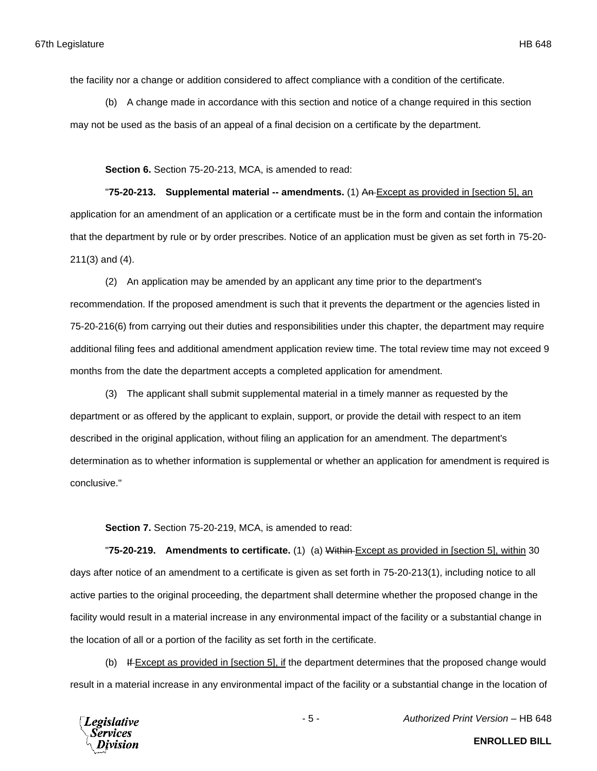the facility nor a change or addition considered to affect compliance with a condition of the certificate.

(b) A change made in accordance with this section and notice of a change required in this section may not be used as the basis of an appeal of a final decision on a certificate by the department.

**Section 6.** Section 75-20-213, MCA, is amended to read:

"**75-20-213. Supplemental material -- amendments.** (1) An Except as provided in [section 5], an application for an amendment of an application or a certificate must be in the form and contain the information that the department by rule or by order prescribes. Notice of an application must be given as set forth in 75-20- 211(3) and (4).

(2) An application may be amended by an applicant any time prior to the department's recommendation. If the proposed amendment is such that it prevents the department or the agencies listed in 75-20-216(6) from carrying out their duties and responsibilities under this chapter, the department may require additional filing fees and additional amendment application review time. The total review time may not exceed 9 months from the date the department accepts a completed application for amendment.

(3) The applicant shall submit supplemental material in a timely manner as requested by the department or as offered by the applicant to explain, support, or provide the detail with respect to an item described in the original application, without filing an application for an amendment. The department's determination as to whether information is supplemental or whether an application for amendment is required is conclusive."

**Section 7.** Section 75-20-219, MCA, is amended to read:

"**75-20-219. Amendments to certificate.** (1) (a) Within Except as provided in [section 5], within 30 days after notice of an amendment to a certificate is given as set forth in 75-20-213(1), including notice to all active parties to the original proceeding, the department shall determine whether the proposed change in the facility would result in a material increase in any environmental impact of the facility or a substantial change in the location of all or a portion of the facility as set forth in the certificate.

(b) If Except as provided in [section 5], if the department determines that the proposed change would result in a material increase in any environmental impact of the facility or a substantial change in the location of

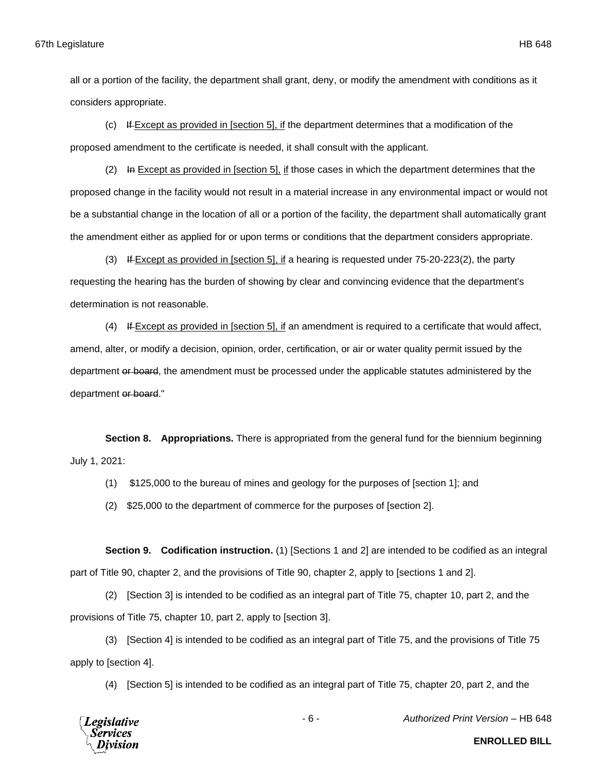all or a portion of the facility, the department shall grant, deny, or modify the amendment with conditions as it considers appropriate.

(c) If Except as provided in [section 5], if the department determines that a modification of the proposed amendment to the certificate is needed, it shall consult with the applicant.

 $(2)$  In Except as provided in [section 5], if those cases in which the department determines that the proposed change in the facility would not result in a material increase in any environmental impact or would not be a substantial change in the location of all or a portion of the facility, the department shall automatically grant the amendment either as applied for or upon terms or conditions that the department considers appropriate.

(3) If Except as provided in [section 5], if a hearing is requested under 75-20-223(2), the party requesting the hearing has the burden of showing by clear and convincing evidence that the department's determination is not reasonable.

(4) If Except as provided in [section 5], if an amendment is required to a certificate that would affect, amend, alter, or modify a decision, opinion, order, certification, or air or water quality permit issued by the department or board, the amendment must be processed under the applicable statutes administered by the department or board."

**Section 8. Appropriations.** There is appropriated from the general fund for the biennium beginning July 1, 2021:

(1) \$125,000 to the bureau of mines and geology for the purposes of [section 1]; and

(2) \$25,000 to the department of commerce for the purposes of [section 2].

**Section 9. Codification instruction.** (1) [Sections 1 and 2] are intended to be codified as an integral part of Title 90, chapter 2, and the provisions of Title 90, chapter 2, apply to [sections 1 and 2].

(2) [Section 3] is intended to be codified as an integral part of Title 75, chapter 10, part 2, and the provisions of Title 75, chapter 10, part 2, apply to [section 3].

(3) [Section 4] is intended to be codified as an integral part of Title 75, and the provisions of Title 75 apply to [section 4].

(4) [Section 5] is intended to be codified as an integral part of Title 75, chapter 20, part 2, and the



- 6 - *Authorized Print Version* – HB 648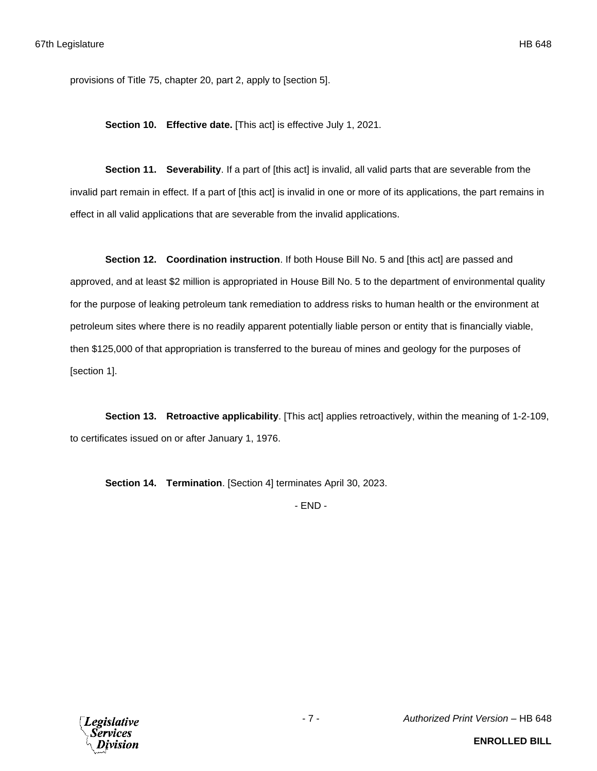provisions of Title 75, chapter 20, part 2, apply to [section 5].

**Section 10. Effective date.** [This act] is effective July 1, 2021.

**Section 11. Severability**. If a part of [this act] is invalid, all valid parts that are severable from the invalid part remain in effect. If a part of [this act] is invalid in one or more of its applications, the part remains in effect in all valid applications that are severable from the invalid applications.

**Section 12. Coordination instruction**. If both House Bill No. 5 and [this act] are passed and approved, and at least \$2 million is appropriated in House Bill No. 5 to the department of environmental quality for the purpose of leaking petroleum tank remediation to address risks to human health or the environment at petroleum sites where there is no readily apparent potentially liable person or entity that is financially viable, then \$125,000 of that appropriation is transferred to the bureau of mines and geology for the purposes of [section 1].

**Section 13. Retroactive applicability**. [This act] applies retroactively, within the meaning of 1-2-109, to certificates issued on or after January 1, 1976.

**Section 14. Termination**. [Section 4] terminates April 30, 2023.

- END -

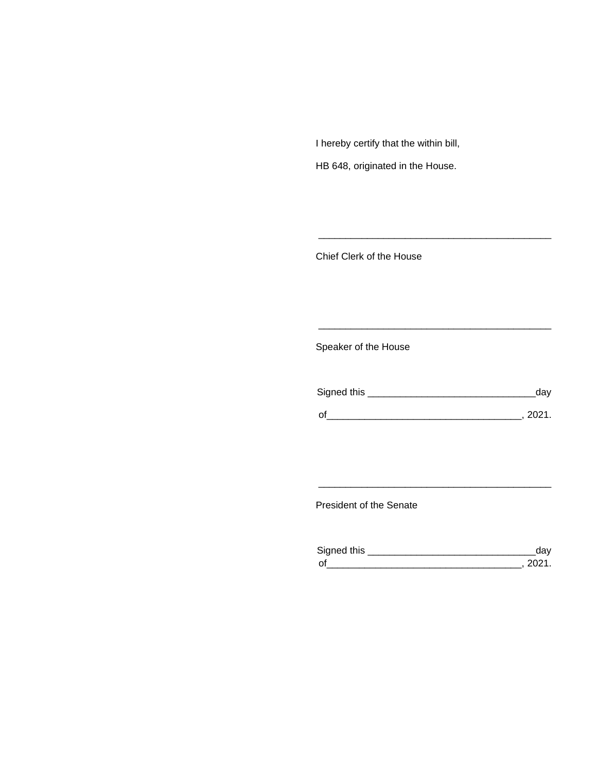I hereby certify that the within bill,

HB 648, originated in the House.

Chief Clerk of the House

Speaker of the House

| Signed this | aav  |
|-------------|------|
| $\Omega$    | ンロウィ |

\_\_\_\_\_\_\_\_\_\_\_\_\_\_\_\_\_\_\_\_\_\_\_\_\_\_\_\_\_\_\_\_\_\_\_\_\_\_\_\_\_\_\_

\_\_\_\_\_\_\_\_\_\_\_\_\_\_\_\_\_\_\_\_\_\_\_\_\_\_\_\_\_\_\_\_\_\_\_\_\_\_\_\_\_\_\_

President of the Senate

| Signed this                |  |
|----------------------------|--|
| $\mathsf{\Omega}^{\prime}$ |  |

\_\_\_\_\_\_\_\_\_\_\_\_\_\_\_\_\_\_\_\_\_\_\_\_\_\_\_\_\_\_\_\_\_\_\_\_\_\_\_\_\_\_\_